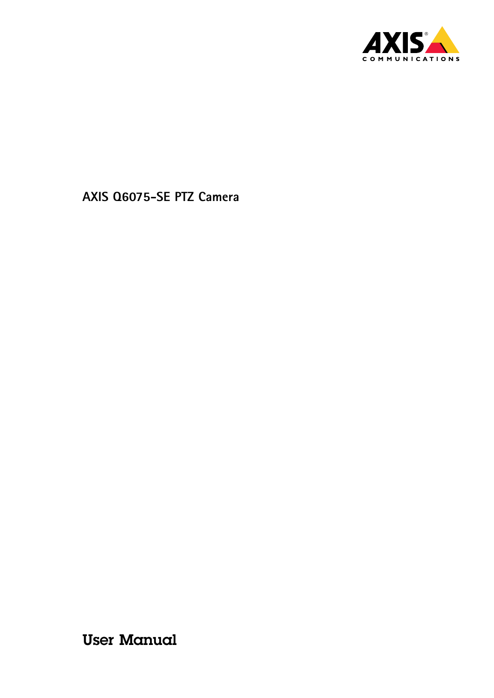

User Manual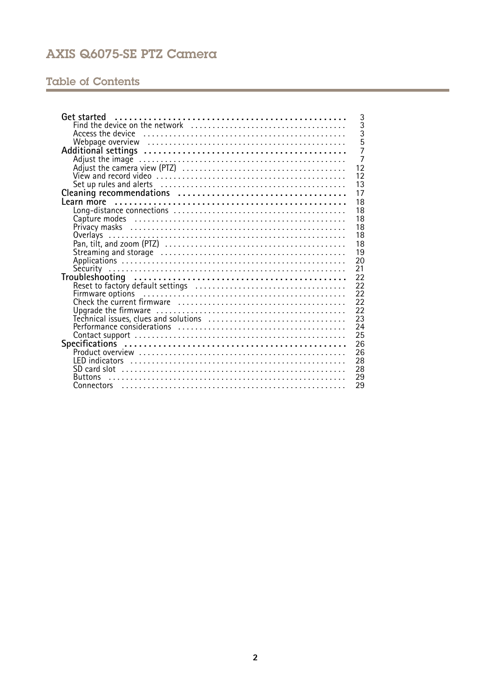# **Table of Contents**

| Get started                                                            | 3              |
|------------------------------------------------------------------------|----------------|
|                                                                        | $\overline{3}$ |
|                                                                        | $\overline{3}$ |
| Webpage overview educational contractor contractor of Webpage overview | 5              |
|                                                                        | $\overline{7}$ |
|                                                                        | $\frac{1}{7}$  |
|                                                                        | 12             |
|                                                                        | 12             |
|                                                                        | 13             |
|                                                                        | 17             |
|                                                                        | 18             |
|                                                                        | 18             |
|                                                                        | 18             |
|                                                                        | 18             |
|                                                                        |                |
| Overlays                                                               | 18             |
|                                                                        | 18             |
|                                                                        | 19             |
|                                                                        | 20             |
|                                                                        | 21             |
|                                                                        | 22             |
|                                                                        | 22             |
|                                                                        | 22             |
|                                                                        | 22             |
|                                                                        | 22             |
|                                                                        | 23             |
|                                                                        | 24             |
|                                                                        | 25             |
|                                                                        | 26             |
|                                                                        | 26             |
|                                                                        | 28             |
|                                                                        | 28             |
| <b>Buttons</b>                                                         | 29             |
|                                                                        | 29             |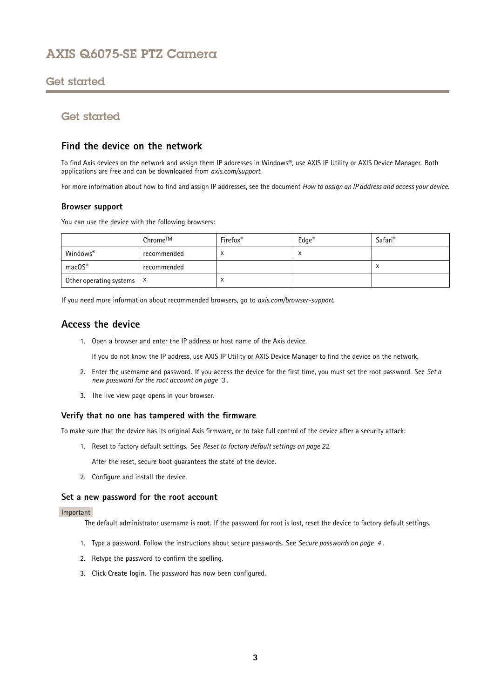## <span id="page-2-0"></span>Get started

## Get started

### **Find the device on the network**

To find Axis devices on the network and assign them IP addresses in Windows®, use AXIS IP Utility or AXIS Device Manager. Both applications are free and can be downloaded from *[axis.com/support](https://www.axis.com/support)*.

For more information about how to find and assign IP addresses, see the document *How to [assign](https://www.axis.com/products/online-manual/i90000) an IP address and access your device*.

### **Browser support**

You can use the device with the following browsers:

|                                      | Chrome™     | Firefox <sup>®</sup> | $Edge^{\circledast}$ | Safari <sup>®</sup> |
|--------------------------------------|-------------|----------------------|----------------------|---------------------|
| Windows®                             | recommended |                      | х                    |                     |
| macOS®                               | recommended |                      |                      |                     |
| Other operating systems $\mathsf{X}$ |             | $\lambda$            |                      |                     |

If you need more information about recommended browsers, go to *[axis.com/browser-support](https://www.axis.com/browser-support)*.

## **Access the device**

1. Open <sup>a</sup> browser and enter the IP address or host name of the Axis device.

If you do not know the IP address, use AXIS IP Utility or AXIS Device Manager to find the device on the network.

- 2. Enter the username and password. If you access the device for the first time, you must set the root password. See *Set <sup>a</sup> new password for the root account on page 3* .
- 3. The live view page opens in your browser.

#### **Verify that no one has tampered with the firmware**

To make sure that the device has its original Axis firmware, or to take full control of the device after <sup>a</sup> security attack:

1. Reset to factory default settings. See *Reset to factory default [settings](#page-21-0) on page [22](#page-21-0)*.

After the reset, secure boot guarantees the state of the device.

2. Configure and install the device.

#### **Set <sup>a</sup> new password for the root account**

#### Important

The default administrator username is **root**. If the password for root is lost, reset the device to factory default settings.

- 1. Type <sup>a</sup> password. Follow the instructions about secure passwords. See *Secure [passwords](#page-3-0) on page [4](#page-3-0)* .
- 2. Retype the password to confirm the spelling.
- 3. Click **Create login**. The password has now been configured.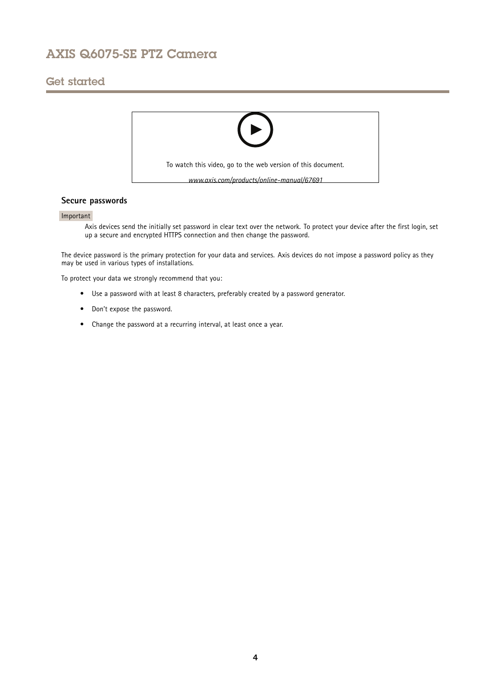# <span id="page-3-0"></span>Get started



### **Secure passwords**

### Important

Axis devices send the initially set password in clear text over the network. To protect your device after the first login, set up <sup>a</sup> secure and encrypted HTTPS connection and then change the password.

The device password is the primary protection for your data and services. Axis devices do not impose <sup>a</sup> password policy as they may be used in various types of installations.

To protect your data we strongly recommend that you:

- Use <sup>a</sup> password with at least 8 characters, preferably created by <sup>a</sup> password generator.
- Don't expose the password.
- Change the password at <sup>a</sup> recurring interval, at least once <sup>a</sup> year.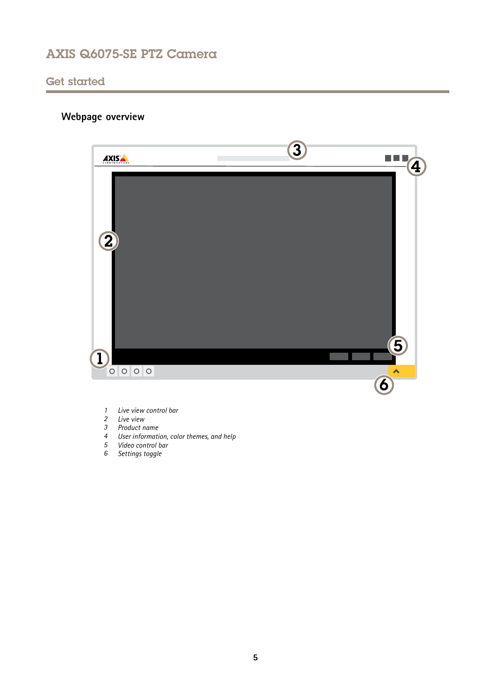## <span id="page-4-0"></span>Get started

# **Webpage overview**



- *1 Live view control bar*
- *2 Live view*
- *3 Product name*
- *<sup>4</sup> User information, color themes, and help*
- *5 Video control bar*
- *6 Settings toggle*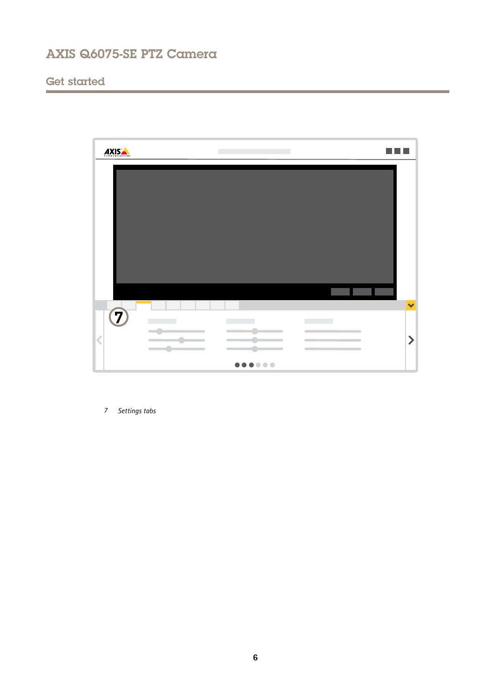# Get started



*7 Settings tabs*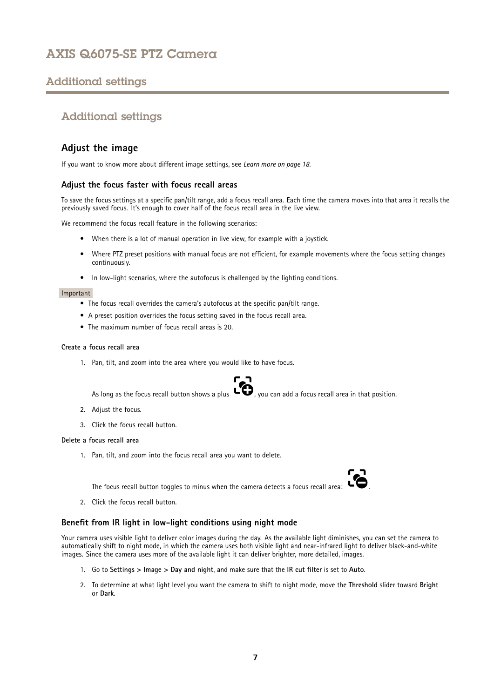# <span id="page-6-0"></span>Additional settings

## Additional settings

## **Adjust the image**

If you want to know more about different image settings, see *[Learn](#page-17-0) more on page [18](#page-17-0)*.

### **Adjust the focus faster with focus recall areas**

To save the focus settings at <sup>a</sup> specific pan/tilt range, add <sup>a</sup> focus recall area. Each time the camera moves into that area it recalls the previously saved focus. It's enough to cover half of the focus recall area in the live view.

We recommend the focus recall feature in the following scenarios:

- When there is <sup>a</sup> lot of manual operation in live view, for example with <sup>a</sup> joystick.
- Where PTZ preset positions with manual focus are not efficient, for example movements where the focus setting changes continuously.
- In low-light scenarios, where the autofocus is challenged by the lighting conditions.

#### Important

- The focus recall overrides the camera's autofocus at the specific pan/tilt range.
- A preset position overrides the focus setting saved in the focus recall area.
- The maximum number of focus recall areas is 20.

#### **Create <sup>a</sup> focus recall area**

1. Pan, tilt, and zoom into the area where you would like to have focus.

As long as the focus recall button shows a plus  $\ddot{\bullet}$ , you can add a focus recall area in that position.

- 2. Adjust the focus.
- 3. Click the focus recall button.

#### **Delete <sup>a</sup> focus recall area**

1. Pan, tilt, and zoom into the focus recall area you want to delete.

The focus recall button toggles to minus when the camera detects <sup>a</sup> focus recall area: .

2. Click the focus recall button.

### **Benefit from IR light in low-light conditions using night mode**

Your camera uses visible light to deliver color images during the day. As the available light diminishes, you can set the camera to automatically shift to night mode, in which the camera uses both visible light and near-infrared light to deliver black-and-white images. Since the camera uses more of the available light it can deliver brighter, more detailed, images.

- 1. Go to **Settings <sup>&</sup>gt; Image <sup>&</sup>gt; Day and night**, and make sure that the **IR cut filter** is set to **Auto**.
- 2. To determine at what light level you want the camera to shift to night mode, move the **Threshold** slider toward **Bright** or **Dark**.

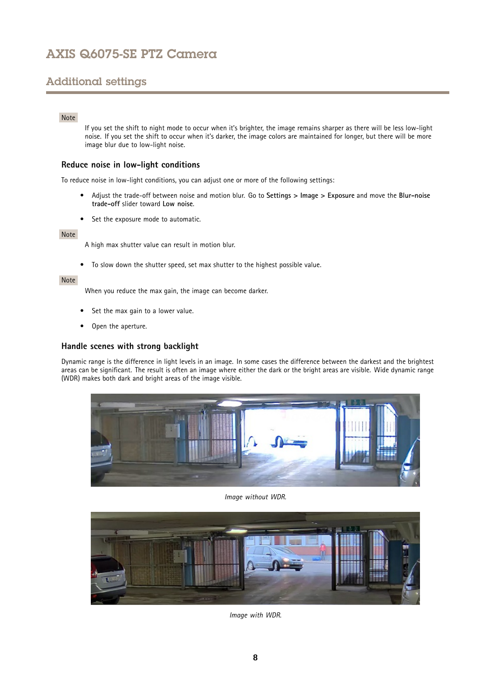# Additional settings

### Note

If you set the shift to night mode to occur when it's brighter, the image remains sharper as there will be less low-light noise. If you set the shift to occur when it's darker, the image colors are maintained for longer, but there will be more image blur due to low-light noise.

### **Reduce noise in low-light conditions**

To reduce noise in low-light conditions, you can adjust one or more of the following settings:

- • Adjust the trade-off between noise and motion blur. Go to **Settings <sup>&</sup>gt; Image <sup>&</sup>gt; Exposure** and move the **Blur-noise trade-off** slider toward **Low noise**.
- Set the exposure mode to automatic.

#### Note

A high max shutter value can result in motion blur.

• To slow down the shutter speed, set max shutter to the highest possible value.

### Note

When you reduce the max gain, the image can become darker.

- •Set the max gain to <sup>a</sup> lower value.
- •Open the aperture.

### **Handle scenes with strong backlight**

Dynamic range is the difference in light levels in an image. In some cases the difference between the darkest and the brightest areas can be significant. The result is often an image where either the dark or the bright areas are visible. Wide dynamic range (WDR) makes both dark and bright areas of the image visible.



*Image without WDR.*



*Image with WDR.*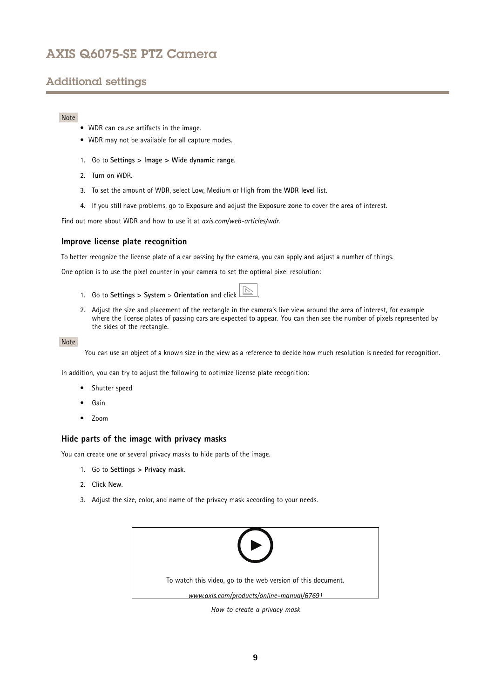# Additional settings

### Note

- WDR can cause artifacts in the image.
- WDR may not be available for all capture modes.
- 1. Go to **Settings <sup>&</sup>gt; Image <sup>&</sup>gt; Wide dynamic range**.
- 2. Turn on WDR.
- 3. To set the amount of WDR, select Low, Medium or High from the **WDR level** list.
- 4. If you still have problems, go to **Exposure** and adjust the **Exposure zone** to cover the area of interest.

Find out more about WDR and how to use it at *[axis.com/web-articles/wdr](https://www.axis.com/web-articles/wdr)*.

### **Improve license plate recognition**

To better recognize the license plate of <sup>a</sup> car passing by the camera, you can apply and adjust <sup>a</sup> number of things.

One option is to use the pixel counter in your camera to set the optimal pixel resolution:

- 1. Go to **Settings <sup>&</sup>gt; System** <sup>&</sup>gt; **Orientation** and click .
- 2. Adjust the size and placement of the rectangle in the camera's live view around the area of interest, for example where the license plates of passing cars are expected to appear. You can then see the number of pixels represented by the sides of the rectangle.

#### Note

You can use an object of <sup>a</sup> known size in the view as <sup>a</sup> reference to decide how much resolution is needed for recognition.

In addition, you can try to adjust the following to optimize license plate recognition:

- Shutter speed
- •Gain
- Zoom

### **Hide parts of the image with privacy masks**

You can create one or several privacy masks to hide parts of the image.

- 1. Go to **Settings <sup>&</sup>gt; Privacy mask**.
- 2. Click **New**.
- 3. Adjust the size, color, and name of the privacy mask according to your needs.



*How to create <sup>a</sup> privacy mask*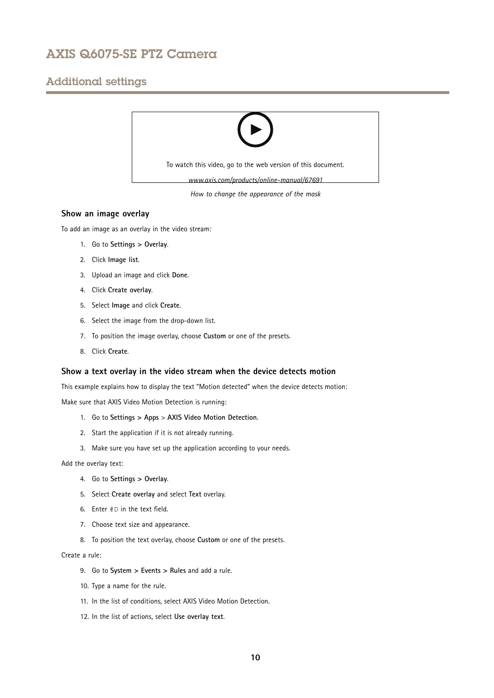## Additional settings



### **Show an image overlay**

To add an image as an overlay in the video stream:

- 1. Go to **Settings <sup>&</sup>gt; Overlay**.
- 2. Click **Image list**.
- 3. Upload an image and click **Done**.
- 4. Click **Create overlay**.
- 5. Select **Image** and click **Create**.
- 6. Select the image from the drop-down list.
- 7. To position the image overlay, choose **Custom** or one of the presets.
- 8. Click **Create**.

#### **Show <sup>a</sup> text overlay in the video stream when the device detects motion**

This example explains how to display the text "Motion detected" when the device detects motion:

Make sure that AXIS Video Motion Detection is running:

- 1. Go to **Settings <sup>&</sup>gt; Apps** <sup>&</sup>gt; **AXIS Video Motion Detection**.
- 2. Start the application if it is not already running.
- 3. Make sure you have set up the application according to your needs.

Add the overlay text:

- 4. Go to **Settings <sup>&</sup>gt; Overlay**.
- 5. Select **Create overlay** and select **Text** overlay.
- 6. Enter #D in the text field.
- 7. Choose text size and appearance.
- 8. To position the text overlay, choose **Custom** or one of the presets.

Create <sup>a</sup> rule:

- 9. Go to **System <sup>&</sup>gt; Events <sup>&</sup>gt; Rules** and add <sup>a</sup> rule.
- 10. Type <sup>a</sup> name for the rule.
- 11. In the list of conditions, select AXIS Video Motion Detection.
- 12. In the list of actions, select **Use overlay text**.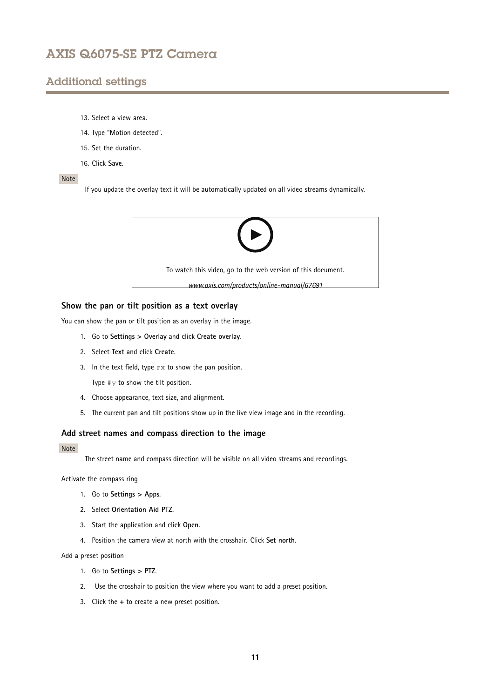## Additional settings

- 13. Select <sup>a</sup> view area.
- 14. Type "Motion detected".
- 15. Set the duration.
- 16. Click **Save**.

#### Note

If you update the overlay text it will be automatically updated on all video streams dynamically.



### **Show the pan or tilt position as <sup>a</sup> text overlay**

You can show the pan or tilt position as an overlay in the image.

- 1. Go to **Settings <sup>&</sup>gt; Overlay** and click **Create overlay**.
- 2. Select **Text** and click **Create**.
- 3. In the text field, type  $\# \times$  to show the pan position.

Type  $\#$ *y* to show the tilt position.

- 4. Choose appearance, text size, and alignment.
- 5. The current pan and tilt positions show up in the live view image and in the recording.

### **Add street names and compass direction to the image**

#### Note

The street name and compass direction will be visible on all video streams and recordings.

Activate the compass ring

- 1. Go to **Settings <sup>&</sup>gt; Apps**.
- 2. Select **Orientation Aid PTZ**.
- 3. Start the application and click **Open**.
- 4. Position the camera view at north with the crosshair. Click **Set north**.

Add <sup>a</sup> preset position

- 1. Go to **Settings <sup>&</sup>gt; PTZ**.
- 2. Use the crosshair to position the view where you want to add <sup>a</sup> preset position.
- 3. Click the **<sup>+</sup>** to create <sup>a</sup> new preset position.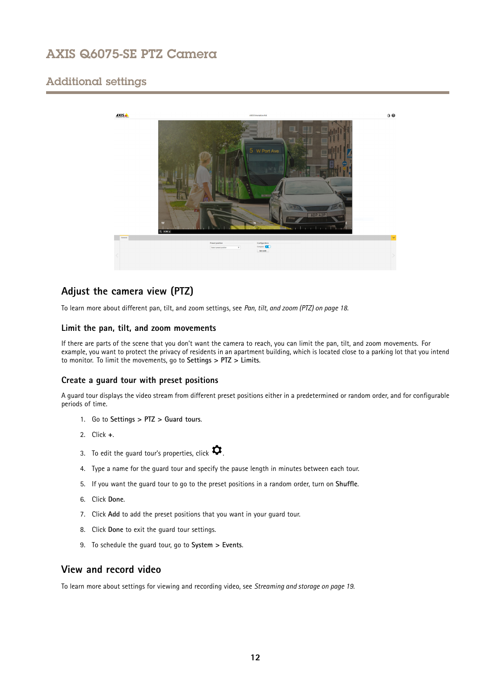# <span id="page-11-0"></span>Additional settings



## **Adjust the camera view (PTZ)**

To learn more about different pan, tilt, and zoom settings, see *Pan, tilt, and zoom [\(PTZ\)](#page-17-0) on page [18](#page-17-0)*.

### **Limit the pan, tilt, and zoom movements**

If there are parts of the scene that you don't want the camera to reach, you can limit the pan, tilt, and zoom movements. For example, you want to protect the privacy of residents in an apartment building, which is located close to <sup>a</sup> parking lot that you intend to monitor. To limit the movements, go to **Settings <sup>&</sup>gt; PTZ <sup>&</sup>gt; Limits**.

### **Create <sup>a</sup> guard tour with preset positions**

A guard tour displays the video stream from different preset positions either in <sup>a</sup> predetermined or random order, and for configurable periods of time.

- 1. Go to **Settings <sup>&</sup>gt; PTZ <sup>&</sup>gt; Guard tours**.
- 2. Click **<sup>+</sup>**.
- 3. To edit the guard tour's properties, click  $\boldsymbol{\mathcal{Q}}$ .
- 4. Type <sup>a</sup> name for the guard tour and specify the pause length in minutes between each tour.
- 5. If you want the guard tour to go to the preset positions in <sup>a</sup> random order, turn on **Shuffle**.
- 6. Click **Done**.
- 7. Click **Add** to add the preset positions that you want in your guard tour.
- 8. Click **Done** to exit the guard tour settings.
- 9. To schedule the guard tour, go to **System <sup>&</sup>gt; Events**.

## **View and record video**

To learn more about settings for viewing and recording video, see *[Streaming](#page-18-0) and storage on page [19](#page-18-0)*.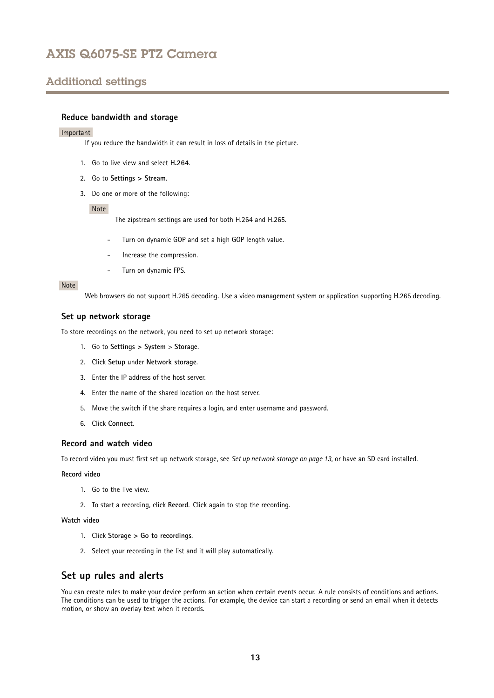# <span id="page-12-0"></span>Additional settings

### **Reduce bandwidth and storage**

#### Important

If you reduce the bandwidth it can result in loss of details in the picture.

- 1. Go to live view and select **H.264**.
- 2. Go to **Settings <sup>&</sup>gt; Stream**.
- 3. Do one or more of the following:

#### Note

The zipstream settings are used for both H.264 and H.265.

- Turn on dynamic GOP and set <sup>a</sup> high GOP length value.
- Increase the compression.
- Turn on dynamic FPS.

### Note

Web browsers do not support H.265 decoding. Use <sup>a</sup> video management system or application supporting H.265 decoding.

#### **Set up network storage**

To store recordings on the network, you need to set up network storage:

- 1. Go to **Settings <sup>&</sup>gt; System** <sup>&</sup>gt; **Storage**.
- 2. Click **Setup** under **Network storage**.
- 3. Enter the IP address of the host server.
- 4. Enter the name of the shared location on the host server.
- 5. Move the switch if the share requires <sup>a</sup> login, and enter username and password.
- 6. Click **Connect**.

### **Record and watch video**

To record video you must first set up network storage, see *Set up network storage on page 13*, or have an SD card installed.

#### **Record video**

- 1. Go to the live view.
- 2. To start <sup>a</sup> recording, click **Record**. Click again to stop the recording.

#### **Watch video**

- 1. Click **Storage <sup>&</sup>gt; Go to recordings**.
- 2. Select your recording in the list and it will play automatically.

## **Set up rules and alerts**

You can create rules to make your device perform an action when certain events occur. A rule consists of conditions and actions. The conditions can be used to trigger the actions. For example, the device can start <sup>a</sup> recording or send an email when it detects motion, or show an overlay text when it records.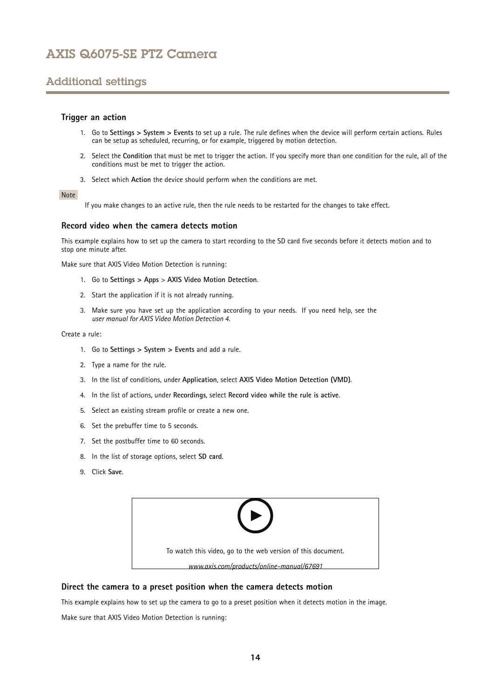# Additional settings

### **Trigger an action**

- 1. Go to **Settings <sup>&</sup>gt; System <sup>&</sup>gt; Events** to set up <sup>a</sup> rule. The rule defines when the device will perform certain actions. Rules can be setup as scheduled, recurring, or for example, triggered by motion detection.
- 2. Select the **Condition** that must be met to trigger the action. If you specify more than one condition for the rule, all of the conditions must be met to trigger the action.
- 3. Select which **Action** the device should perform when the conditions are met.

### Note

If you make changes to an active rule, then the rule needs to be restarted for the changes to take effect.

#### **Record video when the camera detects motion**

This example explains how to set up the camera to start recording to the SD card five seconds before it detects motion and to stop one minute after.

Make sure that AXIS Video Motion Detection is running:

- 1. Go to **Settings <sup>&</sup>gt; Apps** <sup>&</sup>gt; **AXIS Video Motion Detection**.
- 2. Start the application if it is not already running.
- 3. Make sure you have set up the application according to your needs. If you need help, see the *user manual for AXIS Video Motion [Detection](https://www.axis.com/products/online-manual/44110) 4*.

Create <sup>a</sup> rule:

- 1. Go to **Settings <sup>&</sup>gt; System <sup>&</sup>gt; Events** and add <sup>a</sup> rule.
- 2. Type <sup>a</sup> name for the rule.
- 3. In the list of conditions, under **Application**, select **AXIS Video Motion Detection (VMD)**.
- 4. In the list of actions, under **Recordings**, select **Record video while the rule is active**.
- 5. Select an existing stream profile or create <sup>a</sup> new one.
- 6. Set the prebuffer time to 5 seconds.
- 7. Set the postbuffer time to 60 seconds.
- 8. In the list of storage options, select **SD card**.
- 9. Click **Save**.



#### **Direct the camera to <sup>a</sup> preset position when the camera detects motion**

This example explains how to set up the camera to go to <sup>a</sup> preset position when it detects motion in the image.

Make sure that AXIS Video Motion Detection is running: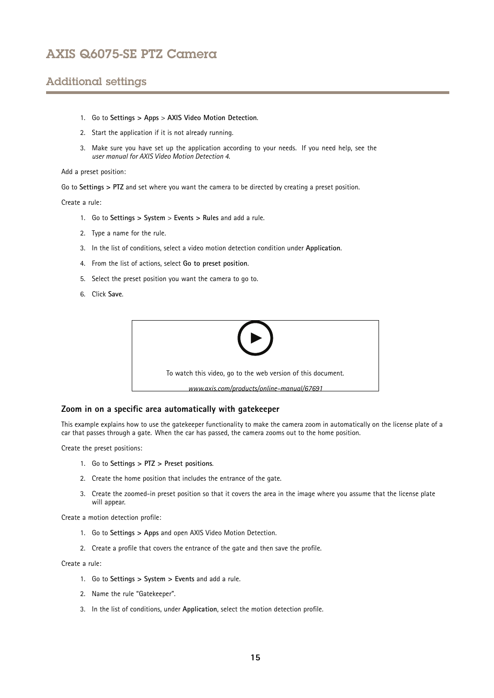# Additional settings

- 1. Go to **Settings <sup>&</sup>gt; Apps** <sup>&</sup>gt; **AXIS Video Motion Detection**.
- 2. Start the application if it is not already running.
- 3. Make sure you have set up the application according to your needs. If you need help, see the *user manual for AXIS Video Motion [Detection](https://www.axis.com/products/online-manual/44110) 4*.

Add <sup>a</sup> preset position:

Go to **Settings <sup>&</sup>gt; PTZ** and set where you want the camera to be directed by creating <sup>a</sup> preset position.

Create <sup>a</sup> rule:

- 1. Go to **Settings <sup>&</sup>gt; System** <sup>&</sup>gt; **Events <sup>&</sup>gt; Rules** and add <sup>a</sup> rule.
- 2. Type <sup>a</sup> name for the rule.
- 3. In the list of conditions, select <sup>a</sup> video motion detection condition under **Application**.
- 4. From the list of actions, select **Go to preset position**.
- 5. Select the preset position you want the camera to go to.
- 6. Click **Save**.



### **Zoom in on <sup>a</sup> specific area automatically with gatekeeper**

This example explains how to use the gatekeeper functionality to make the camera zoom in automatically on the license plate of <sup>a</sup> car that passes through <sup>a</sup> gate. When the car has passed, the camera zooms out to the home position.

Create the preset positions:

- 1. Go to **Settings <sup>&</sup>gt; PTZ <sup>&</sup>gt; Preset positions**.
- 2. Create the home position that includes the entrance of the gate.
- 3. Create the zoomed-in preset position so that it covers the area in the image where you assume that the license plate will appear.

Create <sup>a</sup> motion detection profile:

- 1. Go to **Settings <sup>&</sup>gt; Apps** and open AXIS Video Motion Detection.
- 2. Create <sup>a</sup> profile that covers the entrance of the gate and then save the profile.

Create <sup>a</sup> rule:

- 1. Go to **Settings <sup>&</sup>gt; System <sup>&</sup>gt; Events** and add <sup>a</sup> rule.
- 2. Name the rule "Gatekeeper".
- 3. In the list of conditions, under **Application**, select the motion detection profile.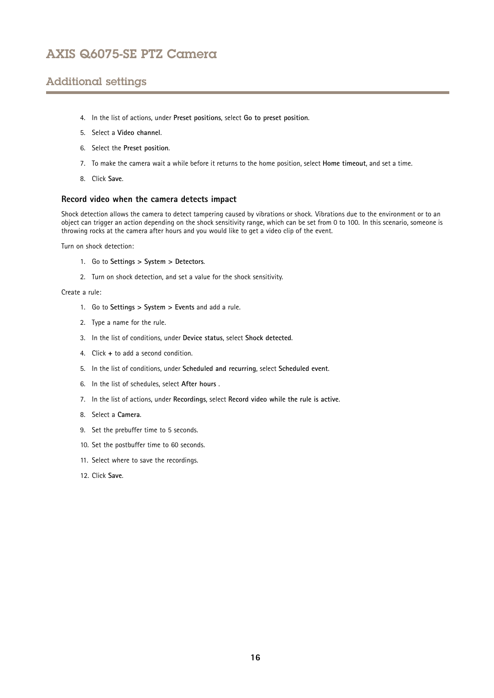# Additional settings

- 4. In the list of actions, under **Preset positions**, select **Go to preset position**.
- 5. Select <sup>a</sup> **Video channel**.
- 6. Select the **Preset position**.
- 7. To make the camera wait <sup>a</sup> while before it returns to the home position, select **Home timeout**, and set <sup>a</sup> time.
- 8. Click **Save**.

#### **Record video when the camera detects impact**

Shock detection allows the camera to detect tampering caused by vibrations or shock. Vibrations due to the environment or to an object can trigger an action depending on the shock sensitivity range, which can be set from 0 to 100. In this scenario, someone is throwing rocks at the camera after hours and you would like to get <sup>a</sup> video clip of the event.

Turn on shock detection:

- 1. Go to **Settings <sup>&</sup>gt; System <sup>&</sup>gt; Detectors**.
- 2. Turn on shock detection, and set <sup>a</sup> value for the shock sensitivity.

Create <sup>a</sup> rule:

- 1. Go to **Settings <sup>&</sup>gt; System <sup>&</sup>gt; Events** and add <sup>a</sup> rule.
- 2. Type <sup>a</sup> name for the rule.
- 3. In the list of conditions, under **Device status**, select **Shock detected**.
- 4. Click **<sup>+</sup>** to add <sup>a</sup> second condition.
- 5. In the list of conditions, under **Scheduled and recurring**, select **Scheduled event**.
- 6. In the list of schedules, select **After hours** .
- 7. In the list of actions, under **Recordings**, select **Record video while the rule is active**.
- 8. Select <sup>a</sup> **Camera**.
- 9. Set the prebuffer time to 5 seconds.
- 10. Set the postbuffer time to 60 seconds.
- 11. Select where to save the recordings.
- 12. Click **Save**.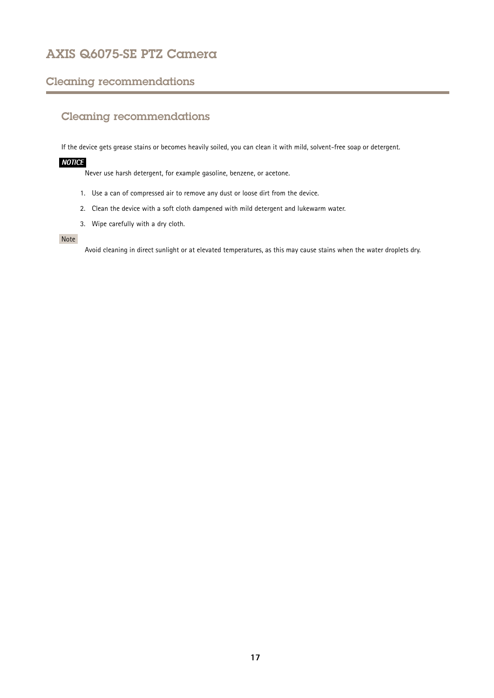## <span id="page-16-0"></span>Cleaning recommendations

# Cleaning recommendations

If the device gets grease stains or becomes heavily soiled, you can clean it with mild, solvent-free soap or detergent.

## *NOTICE*

Never use harsh detergent, for example gasoline, benzene, or acetone.

- 1. Use <sup>a</sup> can of compressed air to remove any dust or loose dirt from the device.
- 2. Clean the device with <sup>a</sup> soft cloth dampened with mild detergent and lukewarm water.
- 3. Wipe carefully with <sup>a</sup> dry cloth.

### Note

Avoid cleaning in direct sunlight or at elevated temperatures, as this may cause stains when the water droplets dry.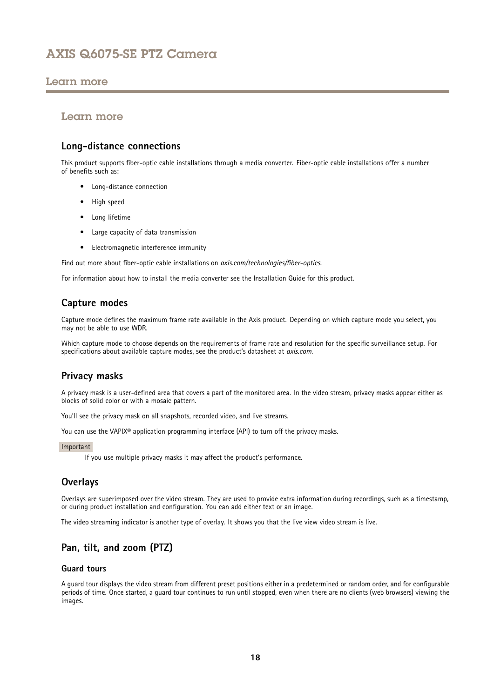## <span id="page-17-0"></span>Learn more

## Learn more

## **Long-distance connections**

This product supports fiber-optic cable installations through <sup>a</sup> media converter. Fiber-optic cable installations offer <sup>a</sup> number of benefits such as:

- Long-distance connection
- High speed
- Long lifetime
- Large capacity of data transmission
- Electromagnetic interference immunity

Find out more about fiber-optic cable installations on *[axis.com/technologies/fiber-optics](https://www.axis.com/technologies/fiber-optics)*.

For information about how to install the media converter see the Installation Guide for this product.

## **Capture modes**

Capture mode defines the maximum frame rate available in the Axis product. Depending on which capture mode you select, you may not be able to use WDR.

Which capture mode to choose depends on the requirements of frame rate and resolution for the specific surveillance setup. For specifications about available capture modes, see the product's datasheet at *[axis.com](https://www.axis.com)*.

## **Privacy masks**

A privacy mask is <sup>a</sup> user-defined area that covers <sup>a</sup> part of the monitored area. In the video stream, privacy masks appear either as blocks of solid color or with <sup>a</sup> mosaic pattern.

You'll see the privacy mask on all snapshots, recorded video, and live streams.

You can use the VAPIX<sup>®</sup> application programming interface (API) to turn off the privacy masks.

#### Important

If you use multiple privacy masks it may affect the product's performance.

## **Overlays**

Overlays are superimposed over the video stream. They are used to provide extra information during recordings, such as <sup>a</sup> timestamp, or during product installation and configuration. You can add either text or an image.

The video streaming indicator is another type of overlay. It shows you that the live view video stream is live.

# **Pan, tilt, and zoom (PTZ)**

### **Guard tours**

A guard tour displays the video stream from different preset positions either in <sup>a</sup> predetermined or random order, and for configurable periods of time. Once started, <sup>a</sup> guard tour continues to run until stopped, even when there are no clients (web browsers) viewing the images.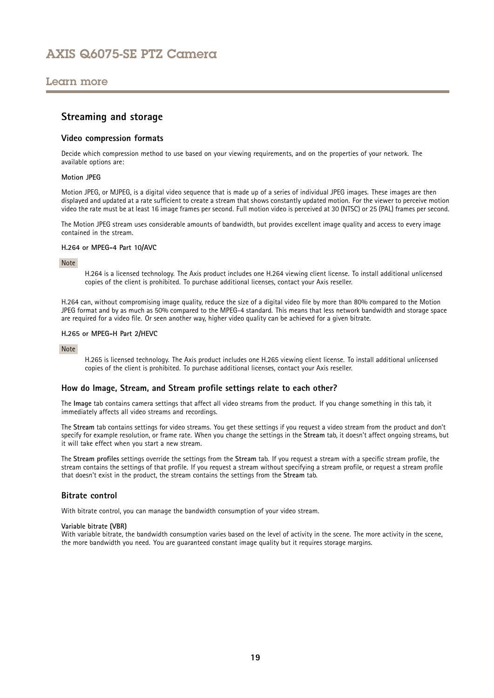## <span id="page-18-0"></span>Learn more

### **Streaming and storage**

### **Video compression formats**

Decide which compression method to use based on your viewing requirements, and on the properties of your network. The available options are:

### **Motion JPEG**

Motion JPEG, or MJPEG, is <sup>a</sup> digital video sequence that is made up of <sup>a</sup> series of individual JPEG images. These images are then displayed and updated at <sup>a</sup> rate sufficient to create <sup>a</sup> stream that shows constantly updated motion. For the viewer to perceive motion video the rate must be at least <sup>16</sup> image frames per second. Full motion video is perceived at <sup>30</sup> (NTSC) or <sup>25</sup> (PAL) frames per second.

The Motion JPEG stream uses considerable amounts of bandwidth, but provides excellent image quality and access to every image contained in the stream.

#### **H.264 or MPEG-4 Part 10/AVC**

#### Note

H.264 is <sup>a</sup> licensed technology. The Axis product includes one H.264 viewing client license. To install additional unlicensed copies of the client is prohibited. To purchase additional licenses, contact your Axis reseller.

H.264 can, without compromising image quality, reduce the size of <sup>a</sup> digital video file by more than 80% compared to the Motion JPEG format and by as much as 50% compared to the MPEG-4 standard. This means that less network bandwidth and storage space are required for <sup>a</sup> video file. Or seen another way, higher video quality can be achieved for <sup>a</sup> given bitrate.

#### **H.265 or MPEG-H Part 2/HEVC**

#### Note

H.265 is licensed technology. The Axis product includes one H.265 viewing client license. To install additional unlicensed copies of the client is prohibited. To purchase additional licenses, contact your Axis reseller.

### **How do Image, Stream, and Stream profile settings relate to each other?**

The **Image** tab contains camera settings that affect all video streams from the product. If you change something in this tab, it immediately affects all video streams and recordings.

The **Stream** tab contains settings for video streams. You get these settings if you request <sup>a</sup> video stream from the product and don't specify for example resolution, or frame rate. When you change the settings in the **Stream** tab, it doesn't affect ongoing streams, but it will take effect when you start <sup>a</sup> new stream.

The **Stream profiles** settings override the settings from the **Stream** tab. If you request <sup>a</sup> stream with <sup>a</sup> specific stream profile, the stream contains the settings of that profile. If you request <sup>a</sup> stream without specifying <sup>a</sup> stream profile, or request <sup>a</sup> stream profile that doesn't exist in the product, the stream contains the settings from the **Stream** tab.

#### **Bitrate control**

With bitrate control, you can manage the bandwidth consumption of your video stream.

#### **Variable bitrate (VBR)**

With variable bitrate, the bandwidth consumption varies based on the level of activity in the scene. The more activity in the scene, the more bandwidth you need. You are guaranteed constant image quality but it requires storage margins.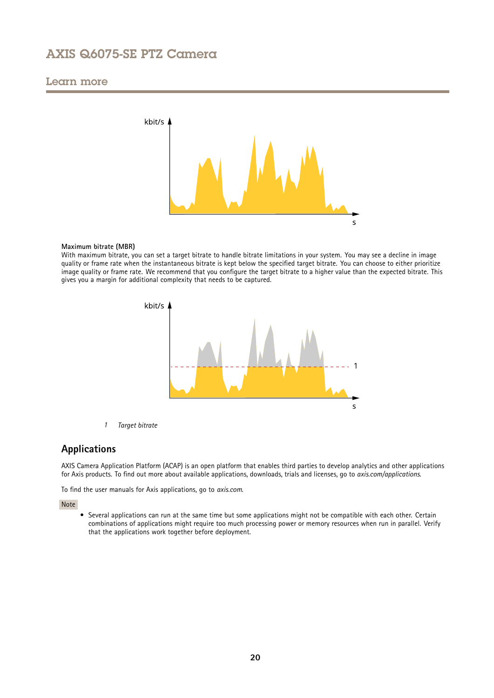## <span id="page-19-0"></span>Learn more



#### **Maximum bitrate (MBR)**

With maximum bitrate, you can set <sup>a</sup> target bitrate to handle bitrate limitations in your system. You may see <sup>a</sup> decline in image quality or frame rate when the instantaneous bitrate is kept below the specified target bitrate. You can choose to either prioritize image quality or frame rate. We recommend that you configure the target bitrate to <sup>a</sup> higher value than the expected bitrate. This gives you <sup>a</sup> margin for additional complexity that needs to be captured.



*1 Target bitrate*

## **Applications**

AXIS Camera Application Platform (ACAP) is an open platform that enables third parties to develop analytics and other applications for Axis products. To find out more about available applications, downloads, trials and licenses, go to *[axis.com/applications](https://www.axis.com/applications)*.

To find the user manuals for Axis applications, go to *[axis.com](https://www.axis.com)*.

#### Note

• Several applications can run at the same time but some applications might not be compatible with each other. Certain combinations of applications might require too much processing power or memory resources when run in parallel. Verify that the applications work together before deployment.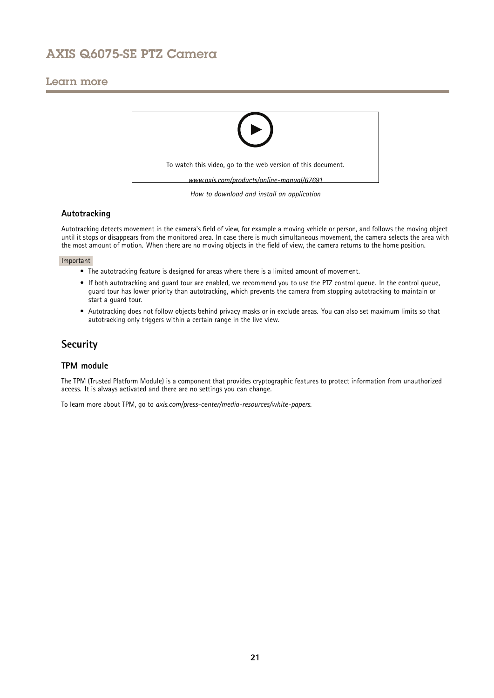## <span id="page-20-0"></span>Learn more



### *How to download and install an application*

### **Autotracking**

Autotracking detects movement in the camera's field of view, for example <sup>a</sup> moving vehicle or person, and follows the moving object until it stops or disappears from the monitored area. In case there is much simultaneous movement, the camera selects the area with the most amount of motion. When there are no moving objects in the field of view, the camera returns to the home position.

#### Important

- The autotracking feature is designed for areas where there is <sup>a</sup> limited amount of movement.
- If both autotracking and guard tour are enabled, we recommend you to use the PTZ control queue. In the control queue, guard tour has lower priority than autotracking, which prevents the camera from stopping autotracking to maintain or start <sup>a</sup> guard tour.
- Autotracking does not follow objects behind privacy masks or in exclude areas. You can also set maximum limits so that autotracking only triggers within <sup>a</sup> certain range in the live view.

## **Security**

### **TPM module**

The TPM (Trusted Platform Module) is <sup>a</sup> component that provides cryptographic features to protect information from unauthorized access. It is always activated and there are no settings you can change.

To learn more about TPM, go to *[axis.com/press-center/media-resources/white-papers](https://www.axis.com/press-center/media-resources/white-papers)*.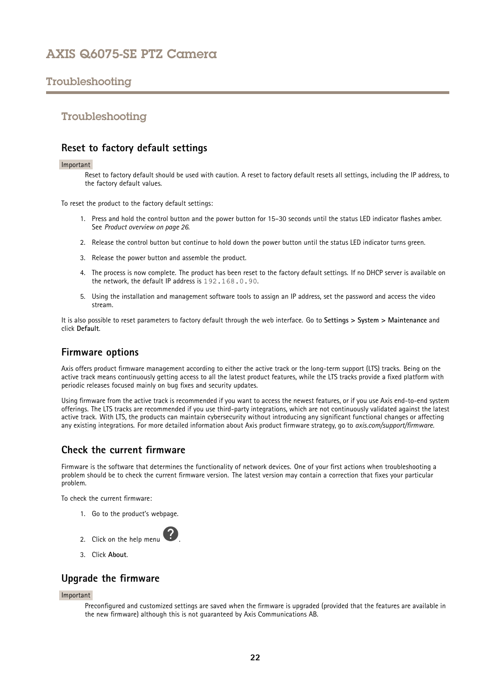## <span id="page-21-0"></span>Troubleshooting

## Troubleshooting

## **Reset to factory default settings**

#### Important

Reset to factory default should be used with caution. A reset to factory default resets all settings, including the IP address, to the factory default values.

To reset the product to the factory default settings:

- 1. Press and hold the control button and the power button for 15–30 seconds until the status LED indicator flashes amber. See *Product [overview](#page-25-0) on page [26](#page-25-0)*.
- 2. Release the control button but continue to hold down the power button until the status LED indicator turns green.
- 3. Release the power button and assemble the product.
- 4. The process is now complete. The product has been reset to the factory default settings. If no DHCP server is available on the network, the default IP address is 192.168.0.90.
- 5. Using the installation and management software tools to assign an IP address, set the password and access the video stream.

It is also possible to reset parameters to factory default through the web interface. Go to **Settings <sup>&</sup>gt; System <sup>&</sup>gt; Maintenance** and click **Default**.

### **Firmware options**

Axis offers product firmware management according to either the active track or the long-term support (LTS) tracks. Being on the active track means continuously getting access to all the latest product features, while the LTS tracks provide <sup>a</sup> fixed platform with periodic releases focused mainly on bug fixes and security updates.

Using firmware from the active track is recommended if you want to access the newest features, or if you use Axis end-to-end system offerings. The LTS tracks are recommended if you use third-party integrations, which are not continuously validated against the latest active track. With LTS, the products can maintain cybersecurity without introducing any significant functional changes or affecting any existing integrations. For more detailed information about Axis product firmware strategy, go to *[axis.com/support/firmware](https://www.axis.com/support/firmware)*.

## **Check the current firmware**

Firmware is the software that determines the functionality of network devices. One of your first actions when troubleshooting <sup>a</sup> problem should be to check the current firmware version. The latest version may contain <sup>a</sup> correction that fixes your particular problem.

To check the current firmware:

1. Go to the product's webpage.



3. Click **About**.

## **Upgrade the firmware**

#### Important

Preconfigured and customized settings are saved when the firmware is upgraded (provided that the features are available in the new firmware) although this is not guaranteed by Axis Communications AB.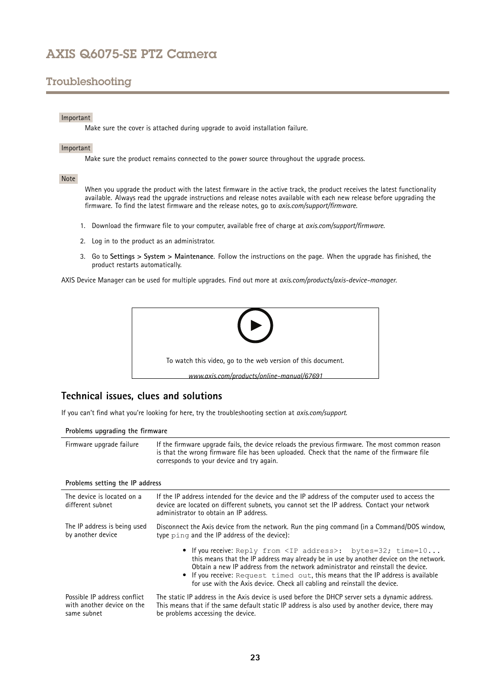# <span id="page-22-0"></span>Troubleshooting

### Important

Make sure the cover is attached during upgrade to avoid installation failure.

#### Important

Make sure the product remains connected to the power source throughout the upgrade process.

### Note

When you upgrade the product with the latest firmware in the active track, the product receives the latest functionality available. Always read the upgrade instructions and release notes available with each new release before upgrading the firmware. To find the latest firmware and the release notes, go to *[axis.com/support/firmware](https://www.axis.com/support/firmware)*.

- 1. Download the firmware file to your computer, available free of charge at *[axis.com/support/firmware](https://www.axis.com/support/firmware)*.
- 2. Log in to the product as an administrator.
- 3. Go to **Settings <sup>&</sup>gt; System <sup>&</sup>gt; Maintenance**. Follow the instructions on the page. When the upgrade has finished, the product restarts automatically.

AXIS Device Manager can be used for multiple upgrades. Find out more at *[axis.com/products/axis-device-manager](https://www.axis.com/products/axis-device-manager)*.



## **Technical issues, clues and solutions**

If you can't find what you're looking for here, try the troubleshooting section at *[axis.com/support](https://www.axis.com/support)*.

### **Problems upgrading the firmware**

| Firmware upgrade failure | If the firmware upgrade fails, the device reloads the previous firmware. The most common reason<br>is that the wrong firmware file has been uploaded. Check that the name of the firmware file<br>corresponds to your device and try again. |
|--------------------------|---------------------------------------------------------------------------------------------------------------------------------------------------------------------------------------------------------------------------------------------|
|                          |                                                                                                                                                                                                                                             |

### **Problems setting the IP address**

| The device is located on a<br>different subnet                            | If the IP address intended for the device and the IP address of the computer used to access the<br>device are located on different subnets, you cannot set the IP address. Contact your network<br>administrator to obtain an IP address.                                                                                                                                                                               |  |  |
|---------------------------------------------------------------------------|-------------------------------------------------------------------------------------------------------------------------------------------------------------------------------------------------------------------------------------------------------------------------------------------------------------------------------------------------------------------------------------------------------------------------|--|--|
| The IP address is being used<br>by another device                         | Disconnect the Axis device from the network. Run the ping command (in a Command/DOS window,<br>type ping and the IP address of the device):                                                                                                                                                                                                                                                                             |  |  |
|                                                                           | • If you receive: Reply from <ip address="">: bytes=32; time=10<br/>this means that the IP address may already be in use by another device on the network.<br/>Obtain a new IP address from the network administrator and reinstall the device.<br/>• If you receive: Request timed out, this means that the IP address is available<br/>for use with the Axis device. Check all cabling and reinstall the device.</ip> |  |  |
| Possible IP address conflict<br>with another device on the<br>same subnet | The static IP address in the Axis device is used before the DHCP server sets a dynamic address.<br>This means that if the same default static IP address is also used by another device, there may<br>be problems accessing the device.                                                                                                                                                                                 |  |  |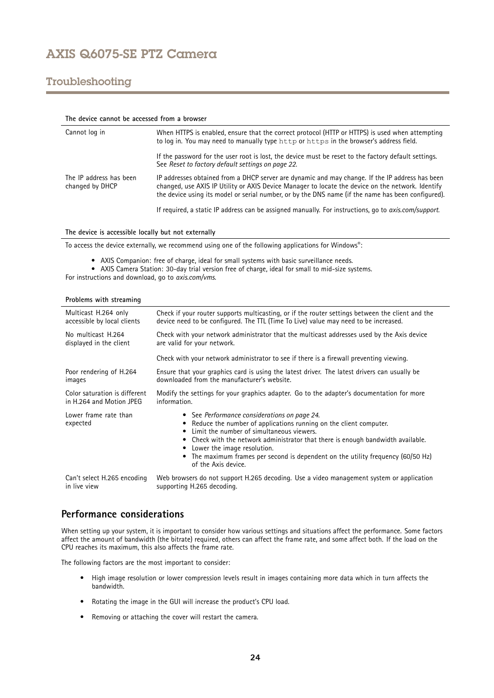# <span id="page-23-0"></span>Troubleshooting

| The device cannot be accessed from a browser |                                                                                                                                                                                                                                                                                                            |  |  |
|----------------------------------------------|------------------------------------------------------------------------------------------------------------------------------------------------------------------------------------------------------------------------------------------------------------------------------------------------------------|--|--|
| Cannot log in                                | When HTTPS is enabled, ensure that the correct protocol (HTTP or HTTPS) is used when attempting<br>to log in. You may need to manually type http or https in the browser's address field.                                                                                                                  |  |  |
|                                              | If the password for the user root is lost, the device must be reset to the factory default settings.<br>See Reset to factory default settings on page 22.                                                                                                                                                  |  |  |
| The IP address has been<br>changed by DHCP   | IP addresses obtained from a DHCP server are dynamic and may change. If the IP address has been<br>changed, use AXIS IP Utility or AXIS Device Manager to locate the device on the network. Identify<br>the device using its model or serial number, or by the DNS name (if the name has been configured). |  |  |
|                                              | If required, a static IP address can be assigned manually. For instructions, go to <i>axis.com/support.</i>                                                                                                                                                                                                |  |  |

**The device is accessible locally but not externally**

To access the device externally, we recommend using one of the following applications for Windows® :

- AXIS Companion: free of charge, ideal for small systems with basic surveillance needs.
- AXIS Camera Station: 30-day trial version free of charge, ideal for small to mid-size systems.

For instructions and download, go to *[axis.com/vms](https://www.axis.com/vms)*.

| Problems with streaming           |                                                                                                                                                                                                                                                                                                                                                                                            |  |  |
|-----------------------------------|--------------------------------------------------------------------------------------------------------------------------------------------------------------------------------------------------------------------------------------------------------------------------------------------------------------------------------------------------------------------------------------------|--|--|
| Multicast H.264 only              | Check if your router supports multicasting, or if the router settings between the client and the                                                                                                                                                                                                                                                                                           |  |  |
| accessible by local clients       | device need to be configured. The TTL (Time To Live) value may need to be increased.                                                                                                                                                                                                                                                                                                       |  |  |
| No multicast H.264                | Check with your network administrator that the multicast addresses used by the Axis device                                                                                                                                                                                                                                                                                                 |  |  |
| displayed in the client           | are valid for your network.                                                                                                                                                                                                                                                                                                                                                                |  |  |
|                                   | Check with your network administrator to see if there is a firewall preventing viewing.                                                                                                                                                                                                                                                                                                    |  |  |
| Poor rendering of H.264           | Ensure that your graphics card is using the latest driver. The latest drivers can usually be                                                                                                                                                                                                                                                                                               |  |  |
| images                            | downloaded from the manufacturer's website.                                                                                                                                                                                                                                                                                                                                                |  |  |
| Color saturation is different     | Modify the settings for your graphics adapter. Go to the adapter's documentation for more                                                                                                                                                                                                                                                                                                  |  |  |
| in H.264 and Motion JPEG          | information.                                                                                                                                                                                                                                                                                                                                                                               |  |  |
| Lower frame rate than<br>expected | • See Performance considerations on page 24.<br>Reduce the number of applications running on the client computer.<br>Limit the number of simultaneous viewers.<br>• Check with the network administrator that there is enough bandwidth available.<br>Lower the image resolution.<br>The maximum frames per second is dependent on the utility frequency (60/50 Hz)<br>of the Axis device. |  |  |
| Can't select H.265 encoding       | Web browsers do not support H.265 decoding. Use a video management system or application                                                                                                                                                                                                                                                                                                   |  |  |
| in live view                      | supporting H.265 decoding.                                                                                                                                                                                                                                                                                                                                                                 |  |  |

## **Performance considerations**

When setting up your system, it is important to consider how various settings and situations affect the performance. Some factors affect the amount of bandwidth (the bitrate) required, others can affect the frame rate, and some affect both. If the load on the CPU reaches its maximum, this also affects the frame rate.

The following factors are the most important to consider:

- High image resolution or lower compression levels result in images containing more data which in turn affects the bandwidth.
- Rotating the image in the GUI will increase the product's CPU load.
- Removing or attaching the cover will restart the camera.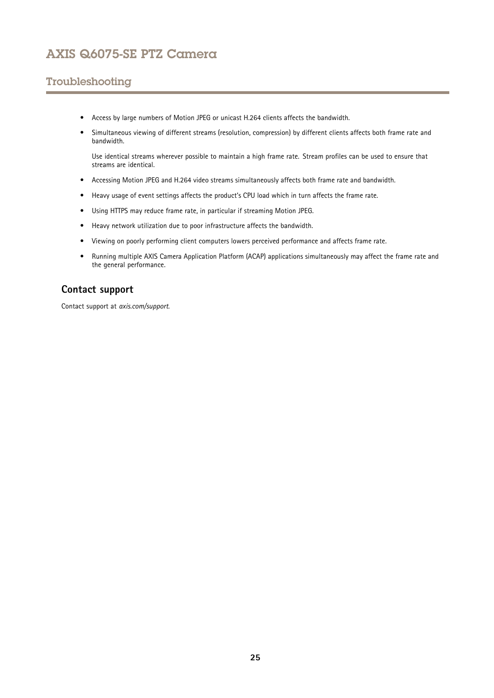# <span id="page-24-0"></span>Troubleshooting

- Access by large numbers of Motion JPEG or unicast H.264 clients affects the bandwidth.
- • Simultaneous viewing of different streams (resolution, compression) by different clients affects both frame rate and bandwidth.

Use identical streams wherever possible to maintain <sup>a</sup> high frame rate. Stream profiles can be used to ensure that streams are identical.

- Accessing Motion JPEG and H.264 video streams simultaneously affects both frame rate and bandwidth.
- Heavy usage of event settings affects the product's CPU load which in turn affects the frame rate.
- Using HTTPS may reduce frame rate, in particular if streaming Motion JPEG.
- Heavy network utilization due to poor infrastructure affects the bandwidth.
- •Viewing on poorly performing client computers lowers perceived performance and affects frame rate.
- • Running multiple AXIS Camera Application Platform (ACAP) applications simultaneously may affect the frame rate and the general performance.

## **Contact support**

Contact support at *[axis.com/support](https://www.axis.com/support)*.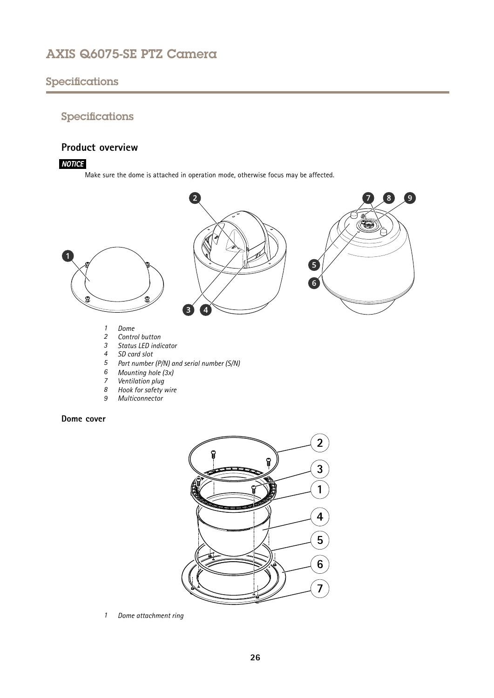# <span id="page-25-0"></span>Specifications

# Specifications

## **Product overview**

### *NOTICE*

Make sure the dome is attached in operation mode, otherwise focus may be affected.



- *<sup>6</sup> Mounting hole (3x)*
- *7 Ventilation plug*<br>*8 Hook for safety*
- *8 Hook for safety wire*
- *9 Multiconnector*

### **Dome cover**



*1 Dome attachment ring*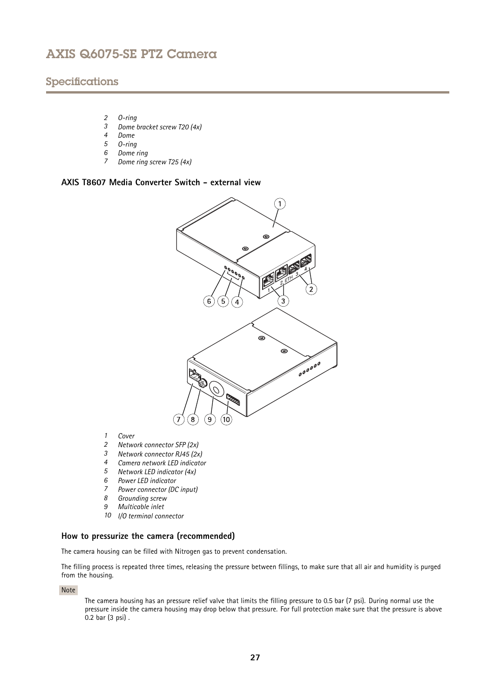## Specifications

- *2 O-ring*
- *3 Dome bracket screw T20 (4x)*
- *4 Dome*
- *5 O-ring*
- *6 Dome ring*
- *<sup>7</sup> Dome ring screw T25 (4x)*

### **AXIS T8607 Media Converter Switch - external view**



- *1 Cover*
- *2 Network connector SFP (2x)*
- *3 Network connector RJ45 (2x)*
- *4 Camera network LED indicator*
- *5 Network LED indicator (4x)*
- *6 Power LED indicator*
- *<sup>7</sup> Power connector (DC input)*
- *8 Grounding screw*
- *9 Multicable inlet*
- *10 I/O terminal connector*

### **How to pressurize the camera (recommended)**

The camera housing can be filled with Nitrogen gas to prevent condensation.

The filling process is repeated three times, releasing the pressure between fillings, to make sure that all air and humidity is purged from the housing.

Note

The camera housing has an pressure relief valve that limits the filling pressure to 0.5 bar (7 psi). During normal use the pressure inside the camera housing may drop below that pressure. For full protection make sure that the pressure is above 0.2 bar (3 psi) .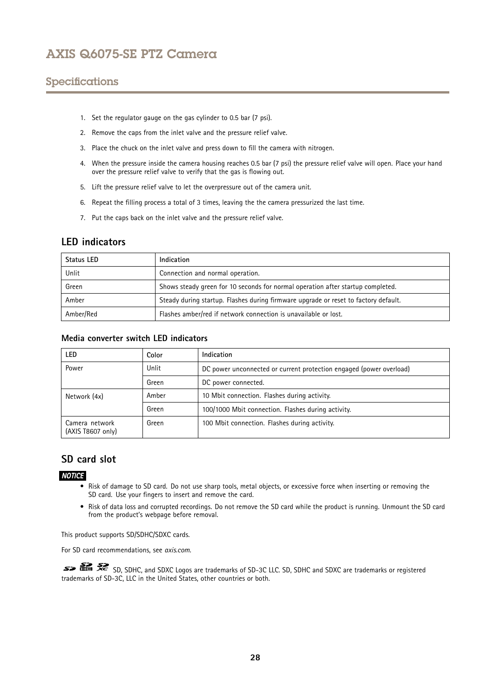# <span id="page-27-0"></span>Specifications

- 1. Set the regulator gauge on the gas cylinder to 0.5 bar (7 psi).
- 2. Remove the caps from the inlet valve and the pressure relief valve.
- 3. Place the chuck on the inlet valve and press down to fill the camera with nitrogen.
- 4. When the pressure inside the camera housing reaches 0.5 bar (7 psi) the pressure relief valve will open. Place your hand over the pressure relief valve to verify that the gas is flowing out.
- 5. Lift the pressure relief valve to let the overpressure out of the camera unit.
- 6. Repeat the filling process <sup>a</sup> total of 3 times, leaving the the camera pressurized the last time.
- 7. Put the caps back on the inlet valve and the pressure relief valve.

## **LED indicators**

| Status LED | Indication                                                                          |
|------------|-------------------------------------------------------------------------------------|
| Unlit      | Connection and normal operation.                                                    |
| Green      | Shows steady green for 10 seconds for normal operation after startup completed.     |
| Amber      | Steady during startup. Flashes during firmware upgrade or reset to factory default. |
| Amber/Red  | Flashes amber/red if network connection is unavailable or lost.                     |

### **Media converter switch LED indicators**

| LED                                 | Color | Indication                                                          |
|-------------------------------------|-------|---------------------------------------------------------------------|
| Power                               | Unlit | DC power unconnected or current protection engaged (power overload) |
|                                     | Green | DC power connected.                                                 |
| Network (4x)                        | Amber | 10 Mbit connection. Flashes during activity.                        |
|                                     | Green | 100/1000 Mbit connection. Flashes during activity.                  |
| Camera network<br>(AXIS T8607 only) | Green | 100 Mbit connection. Flashes during activity.                       |

## **SD card slot**

### *NOTICE*

- Risk of damage to SD card. Do not use sharp tools, metal objects, or excessive force when inserting or removing the SD card. Use your fingers to insert and remove the card.
- Risk of data loss and corrupted recordings. Do not remove the SD card while the product is running. Unmount the SD card from the product's webpage before removal.

This product supports SD/SDHC/SDXC cards.

For SD card recommendations, see *[axis.com](https://www.axis.com)*.

SD, SDHC, and SDXC Logos are trademarks of SD-3C LLC. SD, SDHC and SDXC are trademarks or registered trademarks of SD-3C, LLC in the United States, other countries or both.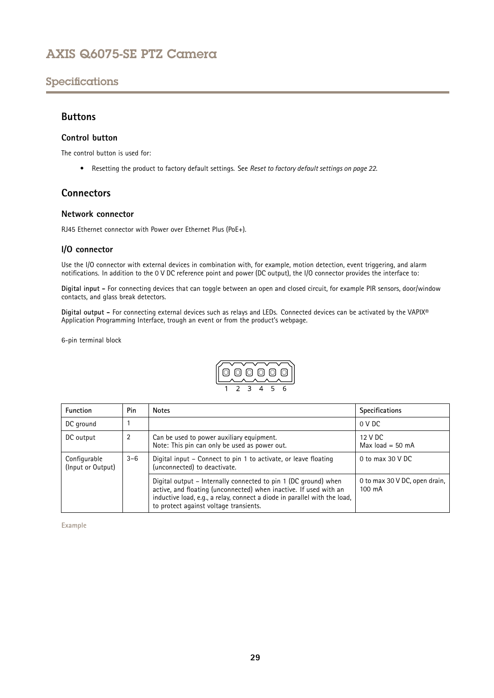# <span id="page-28-0"></span>Specifications

### **Buttons**

### **Control button**

The control button is used for:

• Resetting the product to factory default settings. See *Reset to factory default [settings](#page-21-0) on page [22](#page-21-0)*.

## **Connectors**

### **Network connector**

RJ45 Ethernet connector with Power over Ethernet Plus (PoE+).

### **I/O connector**

Use the I/O connector with external devices in combination with, for example, motion detection, event triggering, and alarm notifications. In addition to the <sup>0</sup> V DC reference point and power (DC output), the I/O connector provides the interface to:

**Digital input -** For connecting devices that can toggle between an open and closed circuit, for example PIR sensors, door/window contacts, and glass break detectors.

**Digital output -** For connecting external devices such as relays and LEDs. Connected devices can be activated by the VAPIX® Application Programming Interface, trough an event or from the product's webpage.

6-pin terminal block



| <b>Function</b>                   | Pin     | <b>Notes</b>                                                                                                                                                                                                                                                | <b>Specifications</b>                   |
|-----------------------------------|---------|-------------------------------------------------------------------------------------------------------------------------------------------------------------------------------------------------------------------------------------------------------------|-----------------------------------------|
| DC ground                         |         |                                                                                                                                                                                                                                                             | 0 V DC                                  |
| DC output                         | 2       | Can be used to power auxiliary equipment.<br>Note: This pin can only be used as power out.                                                                                                                                                                  | 12 V DC<br>Max $load = 50$ mA           |
| Configurable<br>(Input or Output) | $3 - 6$ | Digital input – Connect to pin 1 to activate, or leave floating<br>(unconnected) to deactivate.                                                                                                                                                             | 0 to max $30$ V DC                      |
|                                   |         | Digital output – Internally connected to pin 1 (DC ground) when<br>active, and floating (unconnected) when inactive. If used with an<br>inductive load, e.g., a relay, connect a diode in parallel with the load,<br>to protect against voltage transients. | 0 to max 30 V DC, open drain,<br>100 mA |

**Example**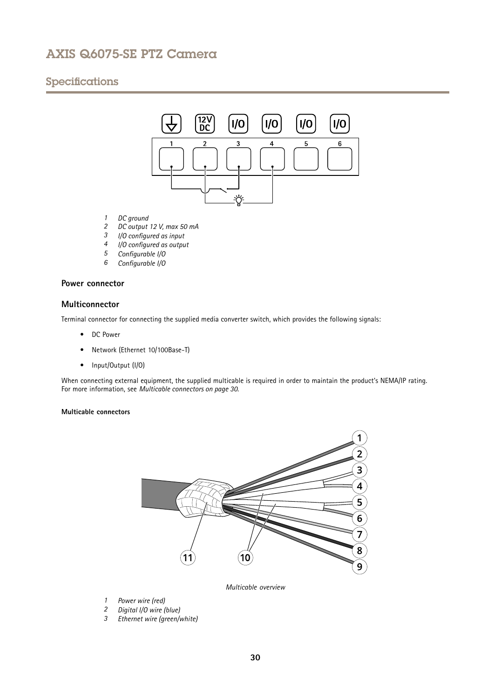# Specifications



- *1 DC ground*
- *2 DC output 12 V, max 50 mA*
- *<sup>3</sup> I/O configured as input*
- *<sup>4</sup> I/O configured as output*
- *<sup>5</sup> Configurable I/O*
- *<sup>6</sup> Configurable I/O*

### **Power connector**

### **Multiconnector**

Terminal connector for connecting the supplied media converter switch, which provides the following signals:

- DC Power
- •Network (Ethernet 10/100Base-T)
- Input/Output (I/O)

When connecting external equipment, the supplied multicable is required in order to maintain the product's NEMA/IP rating. For more information, see *Multicable connectors on page 30*.

### **Multicable connectors**



*Multicable overview*

- *1 Power wire (red)*
- *<sup>2</sup> Digital I/O wire (blue)*
- *<sup>3</sup> Ethernet wire (green/white)*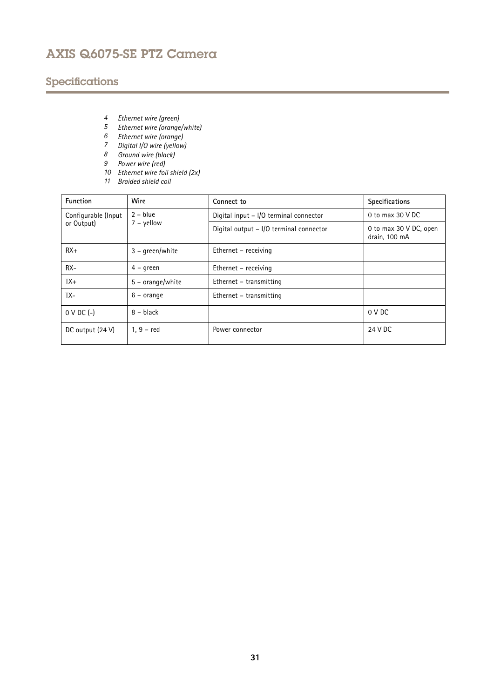# Specifications

- *<sup>4</sup> Ethernet wire (green)*
- *<sup>5</sup> Ethernet wire (orange/white)*
- *<sup>6</sup> Ethernet wire (orange)*
- *<sup>7</sup> Digital I/O wire (yellow)*
- *8 Ground wire (black)*
- *9 Power wire (red)*
- *10 Ethernet wire foil shield (2x)*
- *11 Braided shield coil*

| <b>Function</b>                   | Wire                       | Connect to                              | Specifications                          |
|-----------------------------------|----------------------------|-----------------------------------------|-----------------------------------------|
| Configurable (Input<br>or Output) | $2 - blue$<br>$7 -$ yellow | Digital input - I/O terminal connector  | 0 to max 30 V DC                        |
|                                   |                            | Digital output - I/O terminal connector | 0 to max 30 V DC, open<br>drain, 100 mA |
| $RX+$                             | $3 - \text{green}$ /white  | Ethernet – receiving                    |                                         |
| $RX -$                            | $4 - green$                | Ethernet – receiving                    |                                         |
| $TX+$                             | $5 - orange/white$         | Ethernet – transmitting                 |                                         |
| TX-                               | $6 - \text{orange}$        | Ethernet – transmitting                 |                                         |
| $0 \vee DC$ (-)                   | $8 - black$                |                                         | 0 V DC                                  |
| DC output (24 V)                  | $1, 9 - red$               | Power connector                         | 24 V DC                                 |